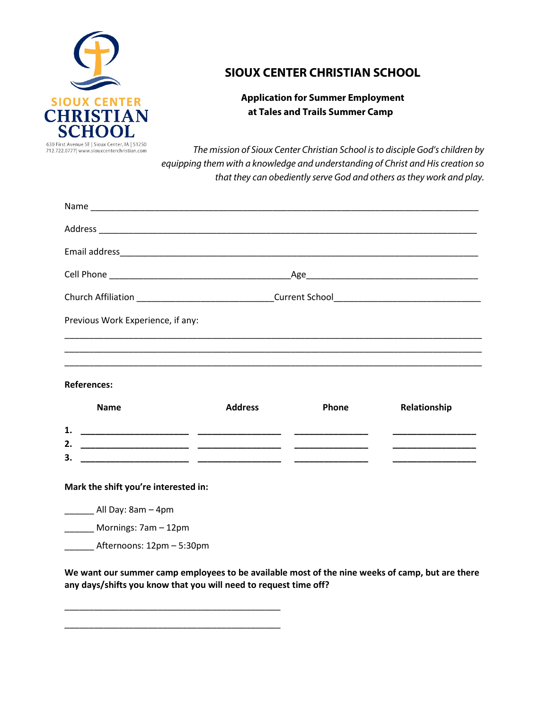

## **SIOUX CENTER CHRISTIAN SCHOOL**

## **Application for Summer Employment at Tales and Trails Summer Camp**

*The mission of Sioux Center Christian School is to disciple God's children by equipping them with a knowledge and understanding of Christ and His creation so that they can obediently serve God and others as they work and play.*

|                                      | Church Affiliation _________________________________Current School_________________________________ |       |                                                  |
|--------------------------------------|-----------------------------------------------------------------------------------------------------|-------|--------------------------------------------------|
| Previous Work Experience, if any:    |                                                                                                     |       |                                                  |
|                                      |                                                                                                     |       |                                                  |
|                                      |                                                                                                     |       |                                                  |
| <b>References:</b>                   |                                                                                                     |       |                                                  |
| <b>Name</b>                          | <b>Address</b>                                                                                      | Phone | Relationship                                     |
| 1.                                   |                                                                                                     |       |                                                  |
| 2.<br>З.                             |                                                                                                     |       | <u> 1980 - Johann Barbara, martxa al III-lea</u> |
|                                      |                                                                                                     |       |                                                  |
| Mark the shift you're interested in: |                                                                                                     |       |                                                  |
| _________ All Day: 8am - 4pm         |                                                                                                     |       |                                                  |
| Mornings: 7am - 12pm                 |                                                                                                     |       |                                                  |
| Afternoons: 12pm – 5:30pm            |                                                                                                     |       |                                                  |

**We want our summer camp employees to be available most of the nine weeks of camp, but are there any days/shifts you know that you will need to request time off?**

\_\_\_\_\_\_\_\_\_\_\_\_\_\_\_\_\_\_\_\_\_\_\_\_\_\_\_\_\_\_\_\_\_\_\_\_\_\_\_\_\_\_\_\_

\_\_\_\_\_\_\_\_\_\_\_\_\_\_\_\_\_\_\_\_\_\_\_\_\_\_\_\_\_\_\_\_\_\_\_\_\_\_\_\_\_\_\_\_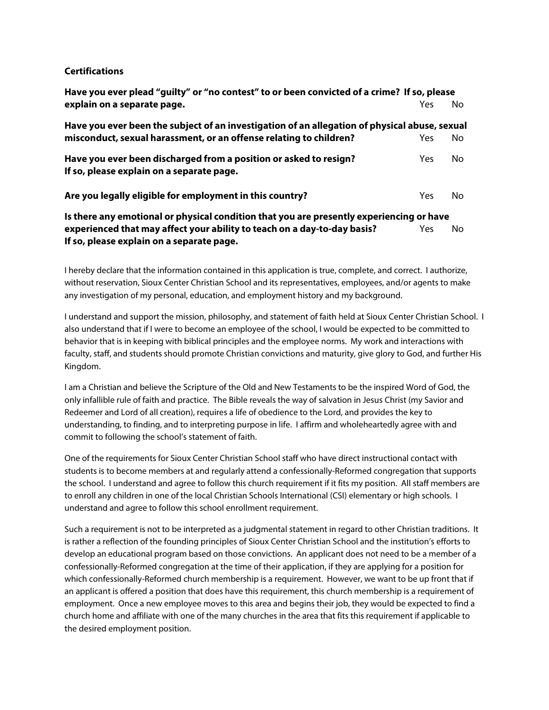## **Certifications**

| Have you ever plead "guilty" or "no contest" to or been convicted of a crime? If so, please   |      |    |  |  |
|-----------------------------------------------------------------------------------------------|------|----|--|--|
| explain on a separate page.                                                                   | Yes  | No |  |  |
| Have you ever been the subject of an investigation of an allegation of physical abuse, sexual |      |    |  |  |
| misconduct, sexual harassment, or an offense relating to children?                            | Yes. | No |  |  |
| Have you ever been discharged from a position or asked to resign?                             | Yes. | No |  |  |
| If so, please explain on a separate page.                                                     |      |    |  |  |
| Are you legally eligible for employment in this country?                                      | Yes  | No |  |  |
| Is there any emotional or physical condition that you are presently experiencing or have      |      |    |  |  |

**experienced that may affect your ability to teach on a day-to-day basis?** Yes No **If so, please explain on a separate page.**

I hereby declare that the information contained in this application is true, complete, and correct. I authorize, without reservation, Sioux Center Christian School and its representatives, employees, and/or agents to make any investigation of my personal, education, and employment history and my background.

I understand and support the mission, philosophy, and statement of faith held at Sioux Center Christian School. I also understand that if I were to become an employee of the school, I would be expected to be committed to behavior that is in keeping with biblical principles and the employee norms. My work and interactions with faculty, staff, and students should promote Christian convictions and maturity, give glory to God, and further His Kingdom.

I am a Christian and believe the Scripture of the Old and New Testaments to be the inspired Word of God, the only infallible rule of faith and practice. The Bible reveals the way of salvation in Jesus Christ (my Savior and Redeemer and Lord of all creation), requires a life of obedience to the Lord, and provides the key to understanding, to finding, and to interpreting purpose in life. I affirm and wholeheartedly agree with and commit to following the school's statement of faith.

One of the requirements for Sioux Center Christian School staff who have direct instructional contact with students is to become members at and regularly attend a confessionally-Reformed congregation that supports the school. I understand and agree to follow this church requirement if it fits my position. All staff members are to enroll any children in one of the local Christian Schools International (CSI) elementary or high schools. I understand and agree to follow this school enrollment requirement.

Such a requirement is not to be interpreted as a judgmental statement in regard to other Christian traditions. It is rather a reflection of the founding principles of Sioux Center Christian School and the institution's efforts to develop an educational program based on those convictions. An applicant does not need to be a member of a confessionally-Reformed congregation at the time of their application, if they are applying for a position for which confessionally-Reformed church membership is a requirement. However, we want to be up front that if an applicant is offered a position that does have this requirement, this church membership is a requirement of employment. Once a new employee moves to this area and begins their job, they would be expected to find a church home and affiliate with one of the many churches in the area that fits this requirement if applicable to the desired employment position.